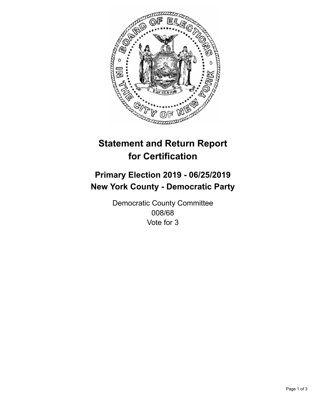

## **Statement and Return Report for Certification**

## **Primary Election 2019 - 06/25/2019 New York County - Democratic Party**

Democratic County Committee 008/68 Vote for 3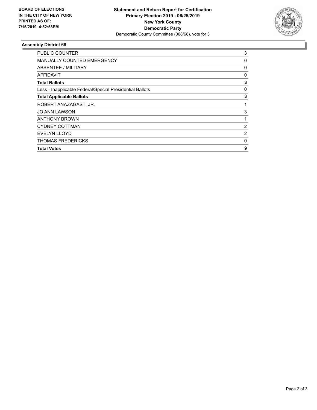

## **Assembly District 68**

| <b>PUBLIC COUNTER</b>                                    | 3            |
|----------------------------------------------------------|--------------|
| <b>MANUALLY COUNTED EMERGENCY</b>                        | 0            |
| ABSENTEE / MILITARY                                      | 0            |
| AFFIDAVIT                                                | 0            |
| <b>Total Ballots</b>                                     | 3            |
| Less - Inapplicable Federal/Special Presidential Ballots | 0            |
| <b>Total Applicable Ballots</b>                          | 3            |
| ROBERT ANAZAGASTI JR.                                    | 1            |
| <b>JO ANN LAWSON</b>                                     | 3            |
| <b>ANTHONY BROWN</b>                                     |              |
| <b>CYDNEY COTTMAN</b>                                    | 2            |
| <b>EVELYN LLOYD</b>                                      | 2            |
| <b>THOMAS FREDERICKS</b>                                 | $\mathbf{0}$ |
| <b>Total Votes</b>                                       | 9            |
|                                                          |              |